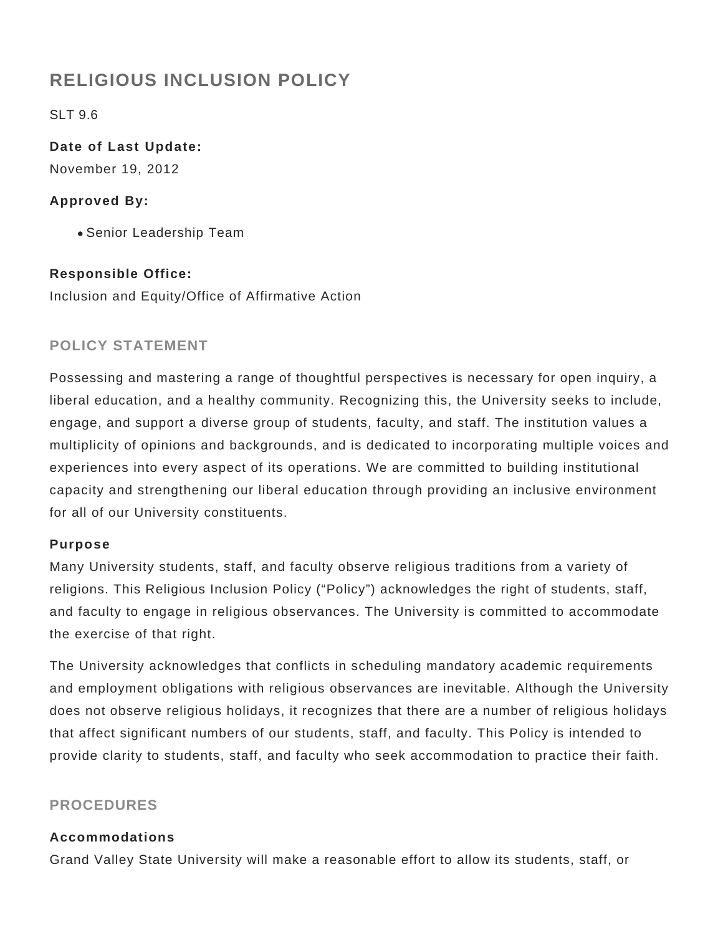# **RELIGIOUS INCLUSION POLICY**

SLT 9.6

**Date of Last Update:** November 19, 2012

# **Approved By:**

Senior Leadership Team

# **Responsible Office:**

Inclusion and Equity/Office of Affirmative Action

# **POLICY STATEMENT**

Possessing and mastering a range of thoughtful perspectives is necessary for open inquiry, a liberal education, and a healthy community. Recognizing this, the University seeks to include, engage, and support a diverse group of students, faculty, and staff. The institution values a multiplicity of opinions and backgrounds, and is dedicated to incorporating multiple voices and experiences into every aspect of its operations. We are committed to building institutional capacity and strengthening our liberal education through providing an inclusive environment for all of our University constituents.

### **Purpose**

Many University students, staff, and faculty observe religious traditions from a variety of religions. This Religious Inclusion Policy ("Policy") acknowledges the right of students, staff, and faculty to engage in religious observances. The University is committed to accommodate the exercise of that right.

The University acknowledges that conflicts in scheduling mandatory academic requirements and employment obligations with religious observances are inevitable. Although the University does not observe religious holidays, it recognizes that there are a number of religious holidays that affect significant numbers of our students, staff, and faculty. This Policy is intended to provide clarity to students, staff, and faculty who seek accommodation to practice their faith.

### **PROCEDURES**

### **Accommodations**

Grand Valley State University will make a reasonable effort to allow its students, staff, or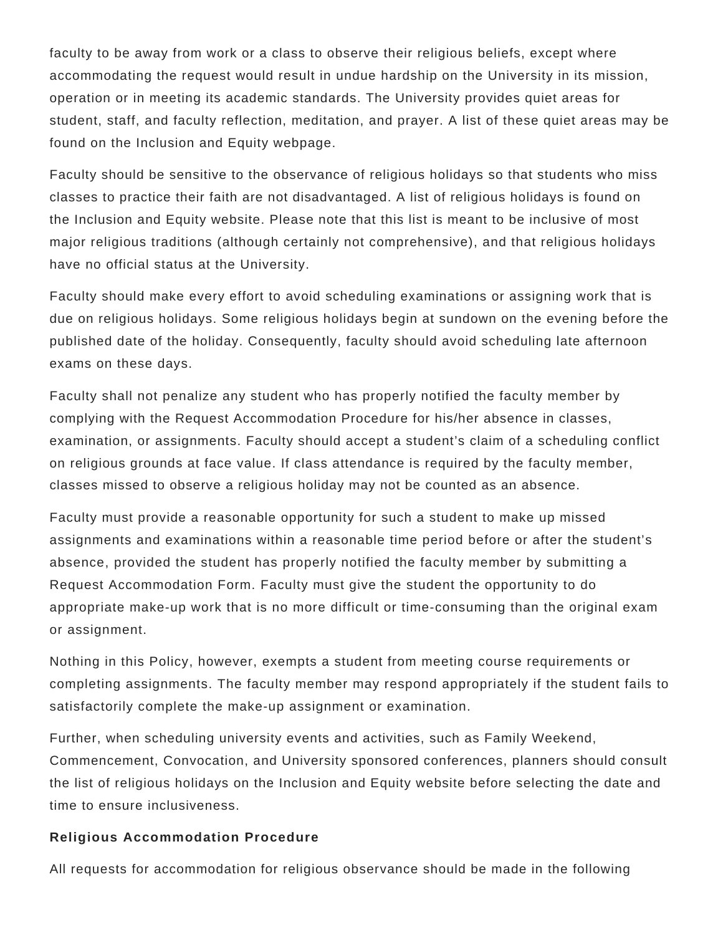faculty to be away from work or a class to observe their religious beliefs, except where accommodating the request would result in undue hardship on the University in its mission, operation or in meeting its academic standards. The University provides quiet areas for student, staff, and faculty reflection, meditation, and prayer. A list of these quiet areas may be found on the Inclusion and Equity webpage.

Faculty should be sensitive to the observance of religious holidays so that students who miss classes to practice their faith are not disadvantaged. A list of religious holidays is found on the Inclusion and Equity website. Please note that this list is meant to be inclusive of most major religious traditions (although certainly not comprehensive), and that religious holidays have no official status at the University.

Faculty should make every effort to avoid scheduling examinations or assigning work that is due on religious holidays. Some religious holidays begin at sundown on the evening before the published date of the holiday. Consequently, faculty should avoid scheduling late afternoon exams on these days.

Faculty shall not penalize any student who has properly notified the faculty member by complying with the Request Accommodation Procedure for his/her absence in classes, examination, or assignments. Faculty should accept a student's claim of a scheduling conflict on religious grounds at face value. If class attendance is required by the faculty member, classes missed to observe a religious holiday may not be counted as an absence.

Faculty must provide a reasonable opportunity for such a student to make up missed assignments and examinations within a reasonable time period before or after the student's absence, provided the student has properly notified the faculty member by submitting a Request Accommodation Form. Faculty must give the student the opportunity to do appropriate make-up work that is no more difficult or time-consuming than the original exam or assignment.

Nothing in this Policy, however, exempts a student from meeting course requirements or completing assignments. The faculty member may respond appropriately if the student fails to satisfactorily complete the make-up assignment or examination.

Further, when scheduling university events and activities, such as Family Weekend, Commencement, Convocation, and University sponsored conferences, planners should consult the list of religious holidays on the Inclusion and Equity website before selecting the date and time to ensure inclusiveness.

#### **Religious Accommodation Procedure**

All requests for accommodation for religious observance should be made in the following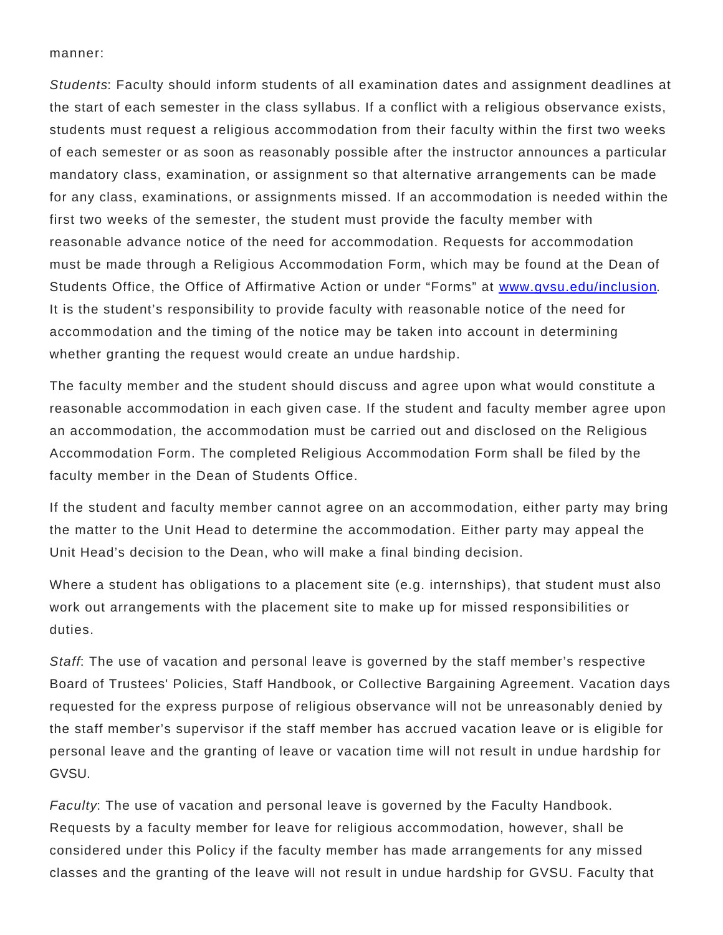#### manner:

Students: Faculty should inform students of all examination dates and assignment deadlines at the start of each semester in the class syllabus. If a conflict with a religious observance exists, students must request a religious accommodation from their faculty within the first two weeks of each semester or as soon as reasonably possible after the instructor announces a particular mandatory class, examination, or assignment so that alternative arrangements can be made for any class, examinations, or assignments missed. If an accommodation is needed within the first two weeks of the semester, the student must provide the faculty member with reasonable advance notice of the need for accommodation. Requests for accommodation must be made through a Religious Accommodation Form, which may be found at the Dean of Students Office, the Office of Affirmative Action or under "Forms" at [www.gvsu.edu/inclusion](http://www.gvsu.edu/inclusion). It is the student's responsibility to provide faculty with reasonable notice of the need for accommodation and the timing of the notice may be taken into account in determining whether granting the request would create an undue hardship.

The faculty member and the student should discuss and agree upon what would constitute a reasonable accommodation in each given case. If the student and faculty member agree upon an accommodation, the accommodation must be carried out and disclosed on the Religious Accommodation Form. The completed Religious Accommodation Form shall be filed by the faculty member in the Dean of Students Office.

If the student and faculty member cannot agree on an accommodation, either party may bring the matter to the Unit Head to determine the accommodation. Either party may appeal the Unit Head's decision to the Dean, who will make a final binding decision.

Where a student has obligations to a placement site (e.g. internships), that student must also work out arrangements with the placement site to make up for missed responsibilities or duties.

Staff: The use of vacation and personal leave is governed by the staff member's respective Board of Trustees' Policies, Staff Handbook, or Collective Bargaining Agreement. Vacation days requested for the express purpose of religious observance will not be unreasonably denied by the staff member's supervisor if the staff member has accrued vacation leave or is eligible for personal leave and the granting of leave or vacation time will not result in undue hardship for GVSU.

Faculty: The use of vacation and personal leave is governed by the Faculty Handbook. Requests by a faculty member for leave for religious accommodation, however, shall be considered under this Policy if the faculty member has made arrangements for any missed classes and the granting of the leave will not result in undue hardship for GVSU. Faculty that